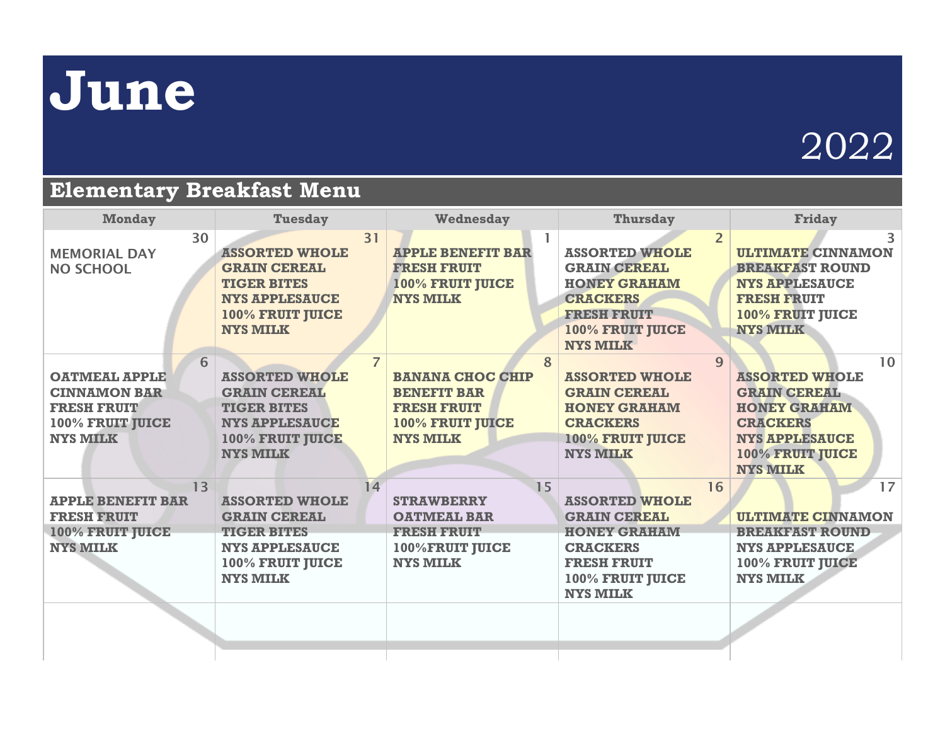## **June**

## 2022

## **Elementary Breakfast Menu**

| <b>Monday</b>                                                                                                 | <b>Tuesday</b>                                                                                                                                       | Wednesday                                                                                                       | <b>Thursday</b>                                                                                                                                                       | <b>Friday</b>                                                                                                                                                |
|---------------------------------------------------------------------------------------------------------------|------------------------------------------------------------------------------------------------------------------------------------------------------|-----------------------------------------------------------------------------------------------------------------|-----------------------------------------------------------------------------------------------------------------------------------------------------------------------|--------------------------------------------------------------------------------------------------------------------------------------------------------------|
| 30<br><b>MEMORIAL DAY</b><br><b>NO SCHOOL</b>                                                                 | 31<br><b>ASSORTED WHOLE</b><br><b>GRAIN CEREAL</b><br><b>TIGER BITES</b><br><b>NYS APPLESAUCE</b><br>100% FRUIT JUICE<br><b>NYS MILK</b>             | <b>APPLE BENEFIT BAR</b><br><b>FRESH FRUIT</b><br><b>100% FRUIT JUICE</b><br><b>NYS MILK</b>                    | $\overline{2}$<br><b>ASSORTED WHOLE</b><br><b>GRAIN CEREAL</b><br><b>HONEY GRAHAM</b><br><b>CRACKERS</b><br><b>FRESH FRUIT</b><br>100% FRUIT JUICE<br><b>NYS MILK</b> | 3<br><b>ULTIMATE CINNAMON</b><br><b>BREAKFAST ROUND</b><br><b>NYS APPLESAUCE</b><br><b>FRESH FRUIT</b><br>100% FRUIT JUICE<br><b>NYS MILK</b>                |
| 6<br><b>OATMEAL APPLE</b><br><b>CINNAMON BAR</b><br><b>FRESH FRUIT</b><br>100% FRUIT JUICE<br><b>NYS MILK</b> | $\overline{7}$<br><b>ASSORTED WHOLE</b><br><b>GRAIN CEREAL</b><br><b>TIGER BITES</b><br><b>NYS APPLESAUCE</b><br>100% FRUIT JUICE<br><b>NYS MILK</b> | 8<br><b>BANANA CHOC CHIP</b><br><b>BENEFIT BAR</b><br><b>FRESH FRUIT</b><br>100% FRUIT JUICE<br><b>NYS MILK</b> | $\mathbf{Q}$<br><b>ASSORTED WHOLE</b><br><b>GRAIN CEREAL</b><br><b>HONEY GRAHAM</b><br><b>CRACKERS</b><br><b>100% FRUIT JUICE</b><br><b>NYS MILK</b>                  | 10<br><b>ASSORTED WHOLE</b><br><b>GRAIN CEREAL</b><br><b>HONEY GRAHAM</b><br><b>CRACKERS</b><br><b>NYS APPLESAUCE</b><br>100% FRUIT JUICE<br><b>NYS MILK</b> |
| 13<br><b>APPLE BENEFIT BAR</b><br><b>FRESH FRUIT</b><br>100% FRUIT JUICE<br><b>NYS MILK</b>                   | 14<br><b>ASSORTED WHOLE</b><br><b>GRAIN CEREAL</b><br><b>TIGER BITES</b><br><b>NYS APPLESAUCE</b><br>100% FRUIT JUICE<br><b>NYS MILK</b>             | 15<br><b>STRAWBERRY</b><br><b>OATMEAL BAR</b><br><b>FRESH FRUIT</b><br>100%FRUIT JUICE<br><b>NYS MILK</b>       | 16<br><b>ASSORTED WHOLE</b><br><b>GRAIN CEREAL</b><br><b>HONEY GRAHAM</b><br><b>CRACKERS</b><br><b>FRESH FRUIT</b><br>100% FRUIT JUICE<br><b>NYS MILK</b>             | 17<br><b>ULTIMATE CINNAMON</b><br><b>BREAKFAST ROUND</b><br><b>NYS APPLESAUCE</b><br>100% FRUIT JUICE<br><b>NYS MILK</b>                                     |